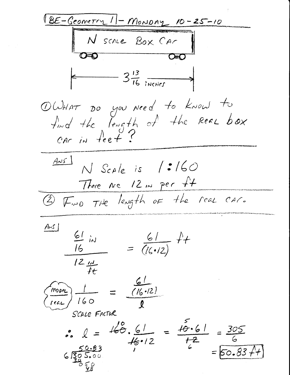BE-Geometry 11-MONDAY 10-25-10 N SCALE BOX CAr  $3\frac{13}{16}$  incurs OWHAT DO you need to know to<br>find the length of the Real box<br>CAC in feet?  $Ans1$  $N$  Scale is  $/3/60$ There are 12 in per ft 2) Find the length of the real car.  $Ans1$  $\frac{61}{16}$  in =  $\frac{61}{(16\cdot 12)}$  ++  $\frac{1}{\sqrt{2}}\frac{1}{\sqrt{2}}$  $\frac{1}{160} = \frac{\frac{61}{(16.12)}}{1}$ SCALE FACTUR SCALE TRIM<br>  $\circ \quad l = \frac{160}{16 \cdot 12} = \frac{5}{12} = \frac{305}{6}$ <br>  $\qquad \circ \quad .83$  $670.83$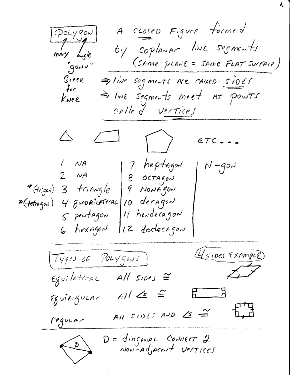A CLOSED Figure formed POLYgon mary angle by coplaNAr line segments (SAME PLANE = SAME FLAT SUFACE) gonn, Greek > live segments are cause sider  $\int_{\mathcal{C}}$ => IWE segments meet AT points Knee calle d'un rices  $ETC - 1 N A$ 17 heptagen  $N-g0N$  $2$   $N$ A  $|8$  OCTAGON 9 NONĂJON \* (trigon)  $3$  triAngle \* (tetragen) 4 guapriLATEAL 10 decagon 11 hendecagon  $5$  pentagon 12 docecagon 6 hexagon (4 sipes Example) Types of Polygons)  $\epsilon$ guilateral All sides  $\cong$  $E - 3$  $A1 \leq \leq$ Eguiniguen requent  $\overline{M}$  sides AND  $\overline{C} \cong$ D = diagonal Connect 2<br>Non-adjacent vertices  $\overline{D}$ 

I,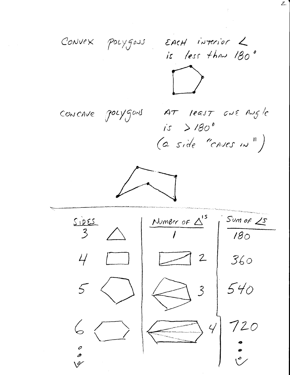

 $Z$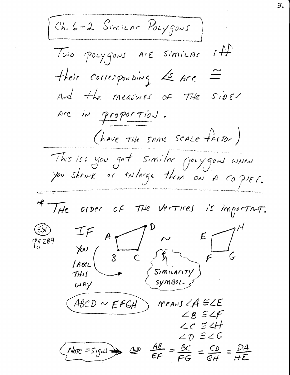Ch. 6-2 Similar Polygons Two pocygons Are SimiLAC  $\rightarrow$   $\rightarrow$ their corresponding Ls Are And the measures of THE siDES Are in proportion. (have the same scale factor) This is: you get similar polygons when<br>you showk or enlarge them on A copier. \* THE OFDER OF THE VERTICES is important.  $A_{\alpha}$ 75289  $5n$  $\mathcal{B}$ WAY  $means < A \subseteq \angle E$  $ABCD \sim EFGH$  $\angle$  B  $\cong$   $\angle$  F  $\angle C \cong 2H$  $\angle p \cong \angle 6$  $\frac{AB}{EF} = \frac{BC}{EG} = \frac{CD}{GH} = \frac{DA}{HE}$  $More = S15M \rightarrow$  $400$ 

3.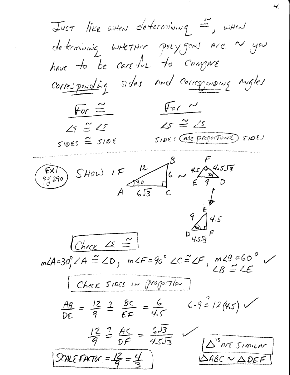JUST like WHEN determining =, WHEN determining whether polygons are  $\sim$  you have to be careful to compre Corresponding sides and corresponding angles  $For  $\sim$$ For  $\cong$  $2s \stackrel{\sim}{=} 2s$  $\angle s \cong \angle s$ SIDES CARE Proportionne SIDES  $51055$   $\cong$   $5105$ EXT SHOW IF 12 6 ~ 45 4.553  $9\sqrt{\frac{E}{4.5}}$  $D\overline{4.5J5}F$  $C$ heck  $\leq$  =  $m\angle A=30^\circ_1\angle A\stackrel{\sim}{=} \angle D_j$   $m\angle F=90^\circ\angle C\stackrel{\sim}{=} \angle F_j$   $m\angle B=60^\circ$  $LB = LE$ Check SIDES IN Proportion  $6.9 = 12(4.5)$  $\frac{AB}{DS} = \frac{12}{9} = \frac{3}{5} = \frac{12}{5} = \frac{12}{5} = \frac{12}{5} = \frac{12}{5} = \frac{12}{5} = \frac{12}{5} = \frac{12}{5} = \frac{12}{5} = \frac{12}{5} = \frac{12}{5} = \frac{12}{5} = \frac{12}{5} = \frac{12}{5} = \frac{12}{5} = \frac{12}{5} = \frac{12}{5} = \frac{12}{5} = \frac{12}{5} = \frac{12}{5} = \frac{12}{5} = \frac{12}{5} = \frac{12}{$  $\frac{12}{9} = \frac{AC}{DF} = \frac{6\sqrt{3}}{4.5\sqrt{3}}$  $\Delta^{3}$ Are SimicAr SCALE FACTOR =  $\frac{12}{9}$  =  $\frac{4}{9}$  $SABC \sim \triangle DEF$ 

4.